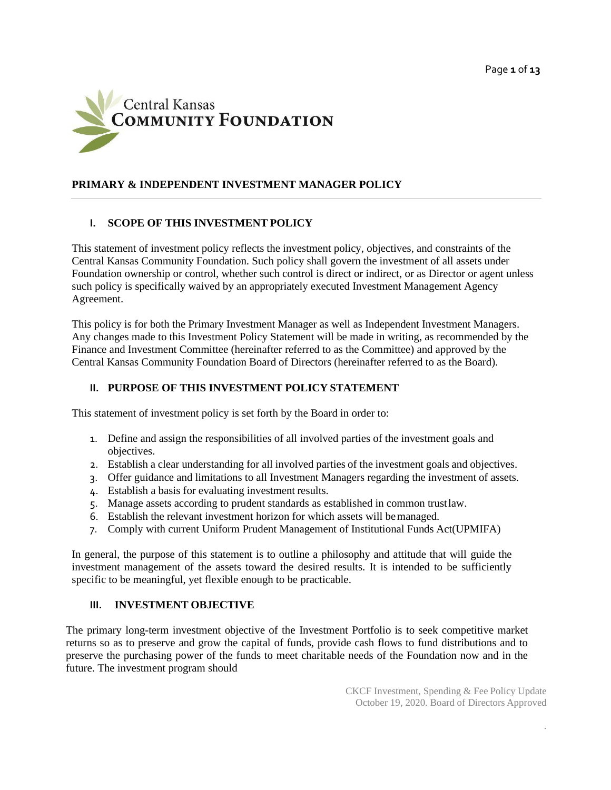

## **PRIMARY & INDEPENDENT INVESTMENT MANAGER POLICY**

## **I. SCOPE OF THIS INVESTMENT POLICY**

This statement of investment policy reflects the investment policy, objectives, and constraints of the Central Kansas Community Foundation. Such policy shall govern the investment of all assets under Foundation ownership or control, whether such control is direct or indirect, or as Director or agent unless such policy is specifically waived by an appropriately executed Investment Management Agency Agreement.

This policy is for both the Primary Investment Manager as well as Independent Investment Managers. Any changes made to this Investment Policy Statement will be made in writing, as recommended by the Finance and Investment Committee (hereinafter referred to as the Committee) and approved by the Central Kansas Community Foundation Board of Directors (hereinafter referred to as the Board).

#### **II. PURPOSE OF THIS INVESTMENT POLICY STATEMENT**

This statement of investment policy is set forth by the Board in order to:

- 1. Define and assign the responsibilities of all involved parties of the investment goals and objectives.
- 2. Establish a clear understanding for all involved parties of the investment goals and objectives.
- 3. Offer guidance and limitations to all Investment Managers regarding the investment of assets.
- 4. Establish a basis for evaluating investment results.
- 5. Manage assets according to prudent standards as established in common trustlaw.
- 6. Establish the relevant investment horizon for which assets will bemanaged.
- 7. Comply with current Uniform Prudent Management of Institutional Funds Act(UPMIFA)

In general, the purpose of this statement is to outline a philosophy and attitude that will guide the investment management of the assets toward the desired results. It is intended to be sufficiently specific to be meaningful, yet flexible enough to be practicable.

#### **III. INVESTMENT OBJECTIVE**

The primary long-term investment objective of the Investment Portfolio is to seek competitive market returns so as to preserve and grow the capital of funds, provide cash flows to fund distributions and to preserve the purchasing power of the funds to meet charitable needs of the Foundation now and in the future. The investment program should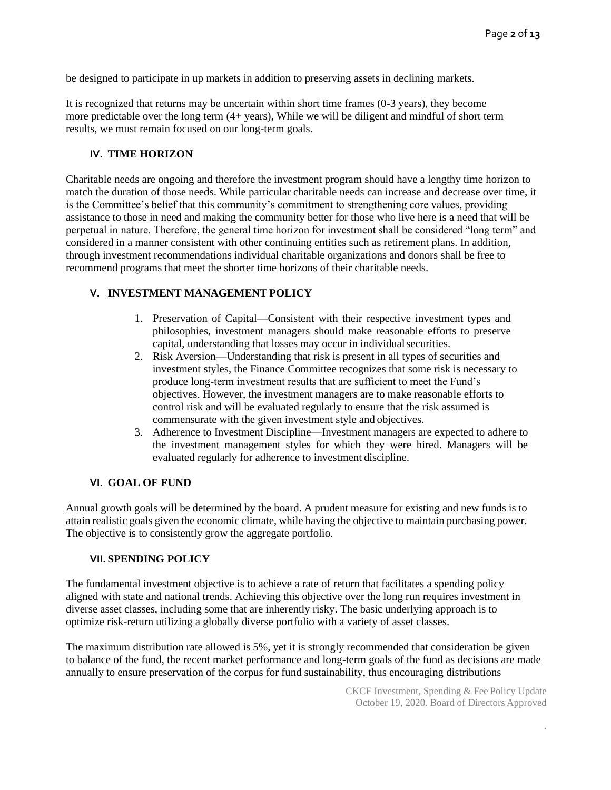be designed to participate in up markets in addition to preserving assets in declining markets.

It is recognized that returns may be uncertain within short time frames (0-3 years), they become more predictable over the long term (4+ years), While we will be diligent and mindful of short term results, we must remain focused on our long-term goals.

#### **IV. TIME HORIZON**

Charitable needs are ongoing and therefore the investment program should have a lengthy time horizon to match the duration of those needs. While particular charitable needs can increase and decrease over time, it is the Committee's belief that this community's commitment to strengthening core values, providing assistance to those in need and making the community better for those who live here is a need that will be perpetual in nature. Therefore, the general time horizon for investment shall be considered "long term" and considered in a manner consistent with other continuing entities such as retirement plans. In addition, through investment recommendations individual charitable organizations and donors shall be free to recommend programs that meet the shorter time horizons of their charitable needs.

## **V. INVESTMENT MANAGEMENT POLICY**

- 1. Preservation of Capital—Consistent with their respective investment types and philosophies, investment managers should make reasonable efforts to preserve capital, understanding that losses may occur in individual securities.
- 2. Risk Aversion—Understanding that risk is present in all types of securities and investment styles, the Finance Committee recognizes that some risk is necessary to produce long-term investment results that are sufficient to meet the Fund's objectives. However, the investment managers are to make reasonable efforts to control risk and will be evaluated regularly to ensure that the risk assumed is commensurate with the given investment style and objectives.
- 3. Adherence to Investment Discipline—Investment managers are expected to adhere to the investment management styles for which they were hired. Managers will be evaluated regularly for adherence to investment discipline.

#### **VI. GOAL OF FUND**

Annual growth goals will be determined by the board. A prudent measure for existing and new funds is to attain realistic goals given the economic climate, while having the objective to maintain purchasing power. The objective is to consistently grow the aggregate portfolio.

#### **VII. SPENDING POLICY**

The fundamental investment objective is to achieve a rate of return that facilitates a spending policy aligned with state and national trends. Achieving this objective over the long run requires investment in diverse asset classes, including some that are inherently risky. The basic underlying approach is to optimize risk-return utilizing a globally diverse portfolio with a variety of asset classes.

The maximum distribution rate allowed is 5%, yet it is strongly recommended that consideration be given to balance of the fund, the recent market performance and long-term goals of the fund as decisions are made annually to ensure preservation of the corpus for fund sustainability, thus encouraging distributions

> CKCF Investment, Spending & Fee Policy Update October 19, 2020. Board of Directors Approved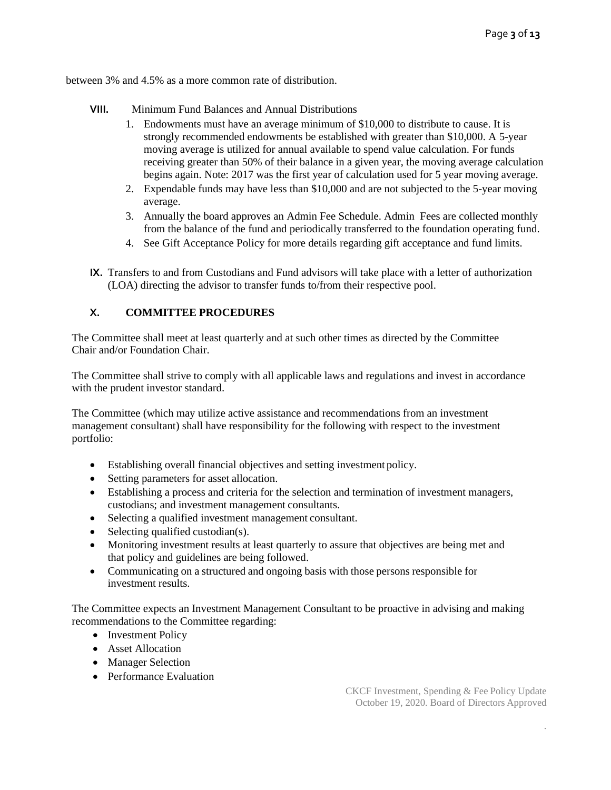between 3% and 4.5% as a more common rate of distribution.

- **VIII.** Minimum Fund Balances and Annual Distributions
	- 1. Endowments must have an average minimum of \$10,000 to distribute to cause. It is strongly recommended endowments be established with greater than \$10,000. A 5-year moving average is utilized for annual available to spend value calculation. For funds receiving greater than 50% of their balance in a given year, the moving average calculation begins again. Note: 2017 was the first year of calculation used for 5 year moving average.
	- 2. Expendable funds may have less than \$10,000 and are not subjected to the 5-year moving average.
	- 3. Annually the board approves an Admin Fee Schedule. Admin Fees are collected monthly from the balance of the fund and periodically transferred to the foundation operating fund.
	- 4. See Gift Acceptance Policy for more details regarding gift acceptance and fund limits.
- **IX.** Transfers to and from Custodians and Fund advisors will take place with a letter of authorization (LOA) directing the advisor to transfer funds to/from their respective pool.

## **X. COMMITTEE PROCEDURES**

The Committee shall meet at least quarterly and at such other times as directed by the Committee Chair and/or Foundation Chair.

The Committee shall strive to comply with all applicable laws and regulations and invest in accordance with the prudent investor standard.

The Committee (which may utilize active assistance and recommendations from an investment management consultant) shall have responsibility for the following with respect to the investment portfolio:

- Establishing overall financial objectives and setting investment policy.
- Setting parameters for asset allocation.
- Establishing a process and criteria for the selection and termination of investment managers, custodians; and investment management consultants.
- Selecting a qualified investment management consultant.
- Selecting qualified custodian(s).
- Monitoring investment results at least quarterly to assure that objectives are being met and that policy and guidelines are being followed.
- Communicating on a structured and ongoing basis with those persons responsible for investment results.

The Committee expects an Investment Management Consultant to be proactive in advising and making recommendations to the Committee regarding:

- Investment Policy
- Asset Allocation
- Manager Selection
- Performance Evaluation

CKCF Investment, Spending & Fee Policy Update October 19, 2020. Board of Directors Approved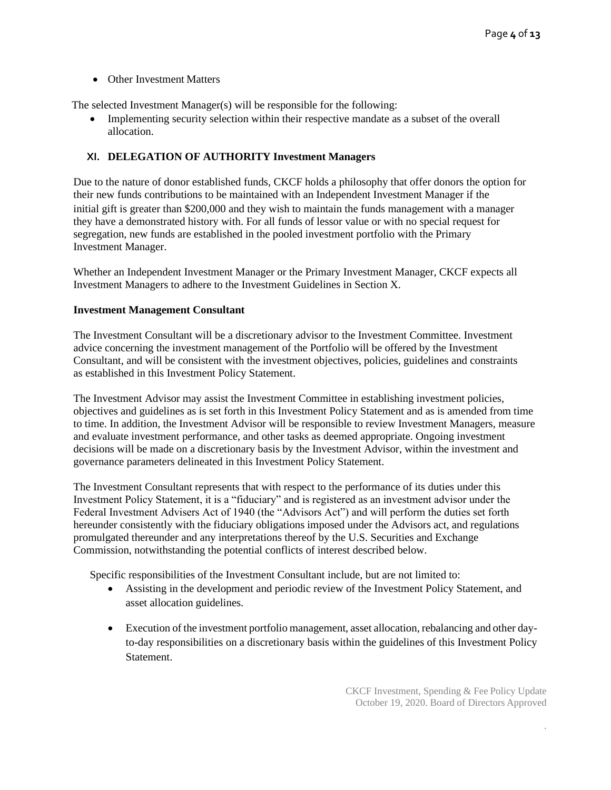• Other Investment Matters

The selected Investment Manager(s) will be responsible for the following:

• Implementing security selection within their respective mandate as a subset of the overall allocation.

## **XI. DELEGATION OF AUTHORITY Investment Managers**

Due to the nature of donor established funds, CKCF holds a philosophy that offer donors the option for their new funds contributions to be maintained with an Independent Investment Manager if the initial gift is greater than \$200,000 and they wish to maintain the funds management with a manager they have a demonstrated history with. For all funds of lessor value or with no special request for segregation, new funds are established in the pooled investment portfolio with the Primary Investment Manager.

Whether an Independent Investment Manager or the Primary Investment Manager, CKCF expects all Investment Managers to adhere to the Investment Guidelines in Section X.

### **Investment Management Consultant**

The Investment Consultant will be a discretionary advisor to the Investment Committee. Investment advice concerning the investment management of the Portfolio will be offered by the Investment Consultant, and will be consistent with the investment objectives, policies, guidelines and constraints as established in this Investment Policy Statement.

The Investment Advisor may assist the Investment Committee in establishing investment policies, objectives and guidelines as is set forth in this Investment Policy Statement and as is amended from time to time. In addition, the Investment Advisor will be responsible to review Investment Managers, measure and evaluate investment performance, and other tasks as deemed appropriate. Ongoing investment decisions will be made on a discretionary basis by the Investment Advisor, within the investment and governance parameters delineated in this Investment Policy Statement.

The Investment Consultant represents that with respect to the performance of its duties under this Investment Policy Statement, it is a "fiduciary" and is registered as an investment advisor under the Federal Investment Advisers Act of 1940 (the "Advisors Act") and will perform the duties set forth hereunder consistently with the fiduciary obligations imposed under the Advisors act, and regulations promulgated thereunder and any interpretations thereof by the U.S. Securities and Exchange Commission, notwithstanding the potential conflicts of interest described below.

Specific responsibilities of the Investment Consultant include, but are not limited to:

- Assisting in the development and periodic review of the Investment Policy Statement, and asset allocation guidelines.
- Execution of the investment portfolio management, asset allocation, rebalancing and other dayto-day responsibilities on a discretionary basis within the guidelines of this Investment Policy Statement.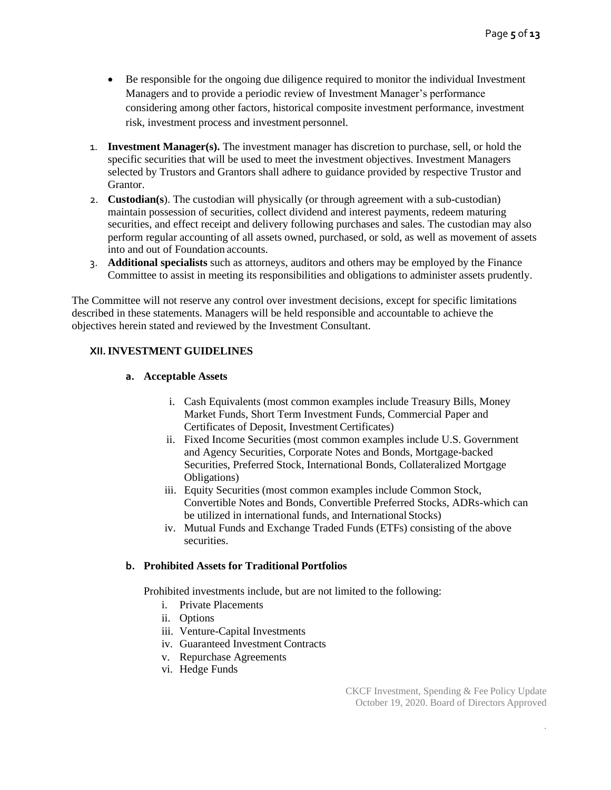- Be responsible for the ongoing due diligence required to monitor the individual Investment Managers and to provide a periodic review of Investment Manager's performance considering among other factors, historical composite investment performance, investment risk, investment process and investment personnel.
- 1. **Investment Manager(s).** The investment manager has discretion to purchase, sell, or hold the specific securities that will be used to meet the investment objectives. Investment Managers selected by Trustors and Grantors shall adhere to guidance provided by respective Trustor and Grantor.
- 2. **Custodian(s**). The custodian will physically (or through agreement with a sub-custodian) maintain possession of securities, collect dividend and interest payments, redeem maturing securities, and effect receipt and delivery following purchases and sales. The custodian may also perform regular accounting of all assets owned, purchased, or sold, as well as movement of assets into and out of Foundation accounts.
- 3. **Additional specialists** such as attorneys, auditors and others may be employed by the Finance Committee to assist in meeting its responsibilities and obligations to administer assets prudently.

The Committee will not reserve any control over investment decisions, except for specific limitations described in these statements. Managers will be held responsible and accountable to achieve the objectives herein stated and reviewed by the Investment Consultant.

### **XII.INVESTMENT GUIDELINES**

#### **a. Acceptable Assets**

- i. Cash Equivalents (most common examples include Treasury Bills, Money Market Funds, Short Term Investment Funds, Commercial Paper and Certificates of Deposit, Investment Certificates)
- ii. Fixed Income Securities (most common examples include U.S. Government and Agency Securities, Corporate Notes and Bonds, Mortgage-backed Securities, Preferred Stock, International Bonds, Collateralized Mortgage Obligations)
- iii. Equity Securities (most common examples include Common Stock, Convertible Notes and Bonds, Convertible Preferred Stocks, ADRs-which can be utilized in international funds, and International Stocks)
- iv. Mutual Funds and Exchange Traded Funds (ETFs) consisting of the above securities.

#### **b. Prohibited Assets for Traditional Portfolios**

Prohibited investments include, but are not limited to the following:

- i. Private Placements
- ii. Options
- iii. Venture-Capital Investments
- iv. Guaranteed Investment Contracts
- v. Repurchase Agreements
- vi. Hedge Funds

CKCF Investment, Spending & Fee Policy Update October 19, 2020. Board of Directors Approved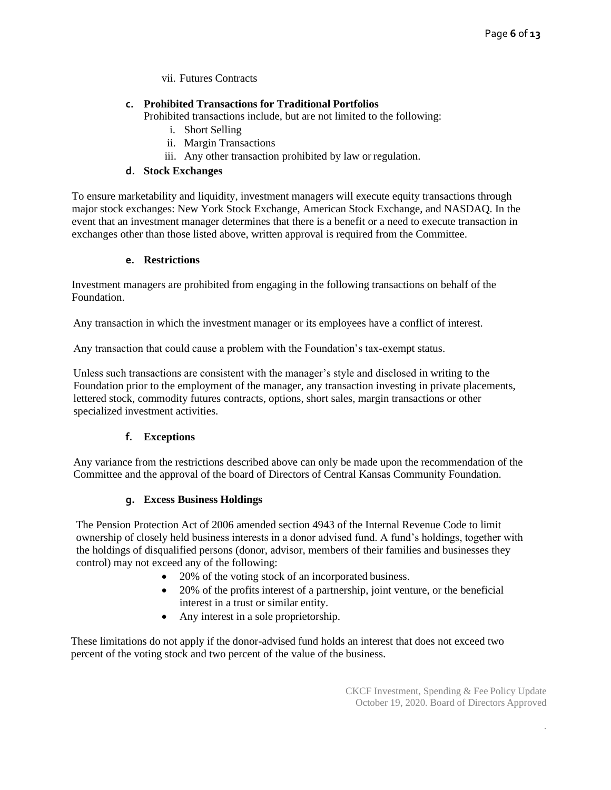vii. Futures Contracts

## **c. Prohibited Transactions for Traditional Portfolios**

Prohibited transactions include, but are not limited to the following:

- i. Short Selling
- ii. Margin Transactions
- iii. Any other transaction prohibited by law or regulation.

### **d. Stock Exchanges**

To ensure marketability and liquidity, investment managers will execute equity transactions through major stock exchanges: New York Stock Exchange, American Stock Exchange, and NASDAQ. In the event that an investment manager determines that there is a benefit or a need to execute transaction in exchanges other than those listed above, written approval is required from the Committee.

### **e. Restrictions**

Investment managers are prohibited from engaging in the following transactions on behalf of the Foundation.

Any transaction in which the investment manager or its employees have a conflict of interest.

Any transaction that could cause a problem with the Foundation's tax-exempt status.

Unless such transactions are consistent with the manager's style and disclosed in writing to the Foundation prior to the employment of the manager, any transaction investing in private placements, lettered stock, commodity futures contracts, options, short sales, margin transactions or other specialized investment activities.

## **f. Exceptions**

Any variance from the restrictions described above can only be made upon the recommendation of the Committee and the approval of the board of Directors of Central Kansas Community Foundation.

## **g. Excess Business Holdings**

The Pension Protection Act of 2006 amended section 4943 of the Internal Revenue Code to limit ownership of closely held business interests in a donor advised fund. A fund's holdings, together with the holdings of disqualified persons (donor, advisor, members of their families and businesses they control) may not exceed any of the following:

- 20% of the voting stock of an incorporated business.
- 20% of the profits interest of a partnership, joint venture, or the beneficial interest in a trust or similar entity.
- Any interest in a sole proprietorship.

 These limitations do not apply if the donor-advised fund holds an interest that does not exceed two percent of the voting stock and two percent of the value of the business.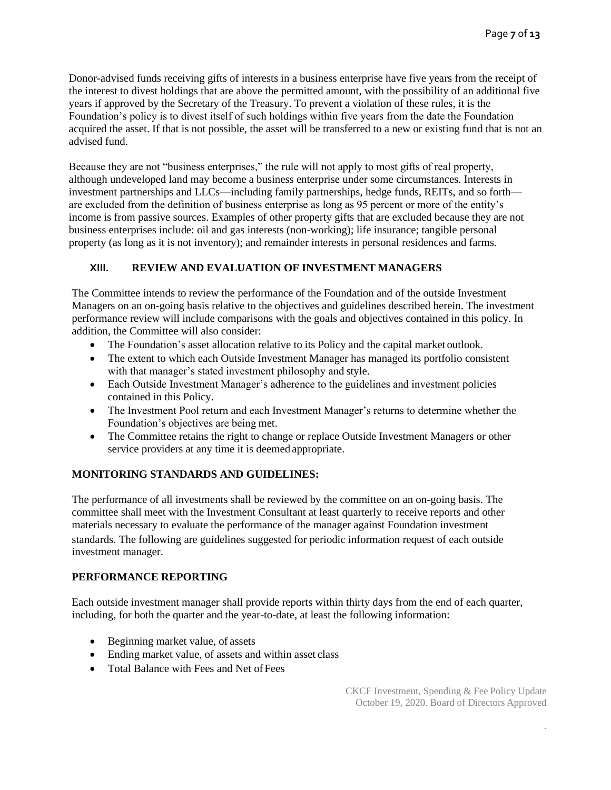Donor-advised funds receiving gifts of interests in a business enterprise have five years from the receipt of the interest to divest holdings that are above the permitted amount, with the possibility of an additional five years if approved by the Secretary of the Treasury. To prevent a violation of these rules, it is the Foundation's policy is to divest itself of such holdings within five years from the date the Foundation acquired the asset. If that is not possible, the asset will be transferred to a new or existing fund that is not an advised fund.

Because they are not "business enterprises," the rule will not apply to most gifts of real property, although undeveloped land may become a business enterprise under some circumstances. Interests in investment partnerships and LLCs—including family partnerships, hedge funds, REITs, and so forth are excluded from the definition of business enterprise as long as 95 percent or more of the entity's income is from passive sources. Examples of other property gifts that are excluded because they are not business enterprises include: oil and gas interests (non-working); life insurance; tangible personal property (as long as it is not inventory); and remainder interests in personal residences and farms.

## **XIII. REVIEW AND EVALUATION OF INVESTMENT MANAGERS**

The Committee intends to review the performance of the Foundation and of the outside Investment Managers on an on-going basis relative to the objectives and guidelines described herein. The investment performance review will include comparisons with the goals and objectives contained in this policy. In addition, the Committee will also consider:

- The Foundation's asset allocation relative to its Policy and the capital market outlook.
- The extent to which each Outside Investment Manager has managed its portfolio consistent with that manager's stated investment philosophy and style.
- Each Outside Investment Manager's adherence to the guidelines and investment policies contained in this Policy.
- The Investment Pool return and each Investment Manager's returns to determine whether the Foundation's objectives are being met.
- The Committee retains the right to change or replace Outside Investment Managers or other service providers at any time it is deemed appropriate.

## **MONITORING STANDARDS AND GUIDELINES:**

The performance of all investments shall be reviewed by the committee on an on-going basis. The committee shall meet with the Investment Consultant at least quarterly to receive reports and other materials necessary to evaluate the performance of the manager against Foundation investment standards. The following are guidelines suggested for periodic information request of each outside investment manager.

#### **PERFORMANCE REPORTING**

Each outside investment manager shall provide reports within thirty days from the end of each quarter, including, for both the quarter and the year-to-date, at least the following information:

- Beginning market value, of assets
- Ending market value, of assets and within asset class
- Total Balance with Fees and Net of Fees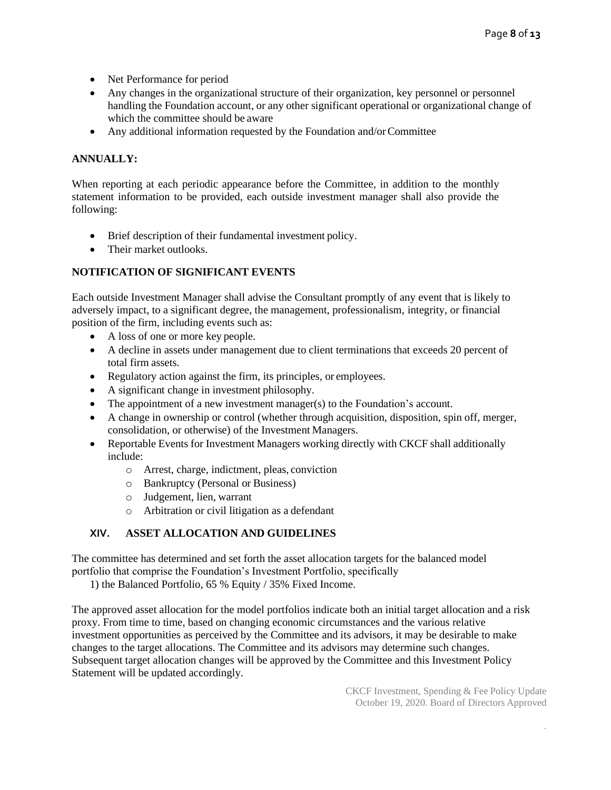- Net Performance for period
- Any changes in the organizational structure of their organization, key personnel or personnel handling the Foundation account, or any other significant operational or organizational change of which the committee should be aware
- Any additional information requested by the Foundation and/or Committee

# **ANNUALLY:**

When reporting at each periodic appearance before the Committee, in addition to the monthly statement information to be provided, each outside investment manager shall also provide the following:

- Brief description of their fundamental investment policy.
- Their market outlooks.

## **NOTIFICATION OF SIGNIFICANT EVENTS**

Each outside Investment Manager shall advise the Consultant promptly of any event that is likely to adversely impact, to a significant degree, the management, professionalism, integrity, or financial position of the firm, including events such as:

- A loss of one or more key people.
- A decline in assets under management due to client terminations that exceeds 20 percent of total firm assets.
- Regulatory action against the firm, its principles, or employees.
- A significant change in investment philosophy.
- The appointment of a new investment manager(s) to the Foundation's account.
- A change in ownership or control (whether through acquisition, disposition, spin off, merger, consolidation, or otherwise) of the Investment Managers.
- Reportable Events for Investment Managers working directly with CKCF shall additionally include:
	- o Arrest, charge, indictment, pleas, conviction
	- o Bankruptcy (Personal or Business)
	- o Judgement, lien, warrant
	- o Arbitration or civil litigation as a defendant

## **XIV. ASSET ALLOCATION AND GUIDELINES**

The committee has determined and set forth the asset allocation targets for the balanced model portfolio that comprise the Foundation's Investment Portfolio, specifically

1) the Balanced Portfolio, 65 % Equity / 35% Fixed Income.

The approved asset allocation for the model portfolios indicate both an initial target allocation and a risk proxy. From time to time, based on changing economic circumstances and the various relative investment opportunities as perceived by the Committee and its advisors, it may be desirable to make changes to the target allocations. The Committee and its advisors may determine such changes. Subsequent target allocation changes will be approved by the Committee and this Investment Policy Statement will be updated accordingly.

> CKCF Investment, Spending & Fee Policy Update October 19, 2020. Board of Directors Approved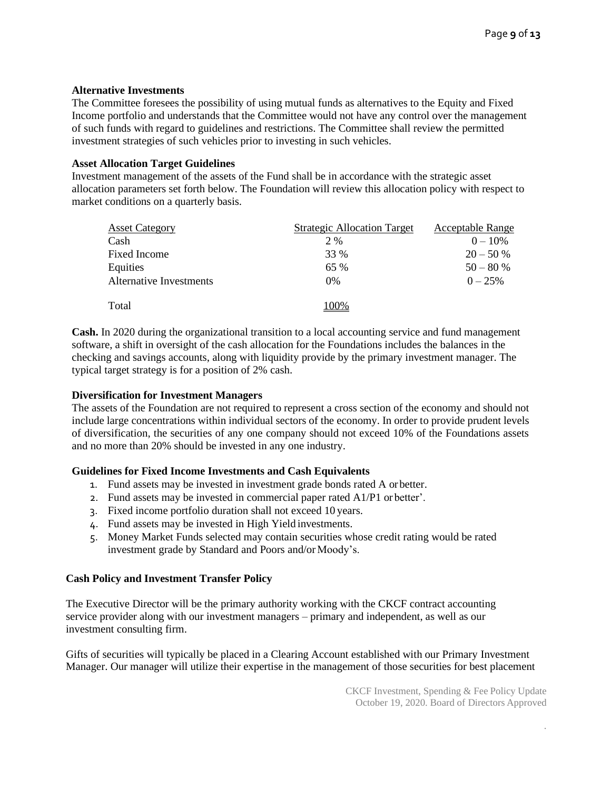#### **Alternative Investments**

The Committee foresees the possibility of using mutual funds as alternatives to the Equity and Fixed Income portfolio and understands that the Committee would not have any control over the management of such funds with regard to guidelines and restrictions. The Committee shall review the permitted investment strategies of such vehicles prior to investing in such vehicles.

#### **Asset Allocation Target Guidelines**

Investment management of the assets of the Fund shall be in accordance with the strategic asset allocation parameters set forth below. The Foundation will review this allocation policy with respect to market conditions on a quarterly basis.

| <b>Asset Category</b>   | <b>Strategic Allocation Target</b> | <b>Acceptable Range</b> |
|-------------------------|------------------------------------|-------------------------|
| Cash                    | 2 %                                | $0 - 10\%$              |
| Fixed Income            | 33 %                               | $20 - 50%$              |
| Equities                | 65%                                | $50 - 80%$              |
| Alternative Investments | $0\%$                              | $0 - 25\%$              |
| Total                   | 100%                               |                         |

**Cash.** In 2020 during the organizational transition to a local accounting service and fund management software, a shift in oversight of the cash allocation for the Foundations includes the balances in the checking and savings accounts, along with liquidity provide by the primary investment manager. The typical target strategy is for a position of 2% cash.

### **Diversification for Investment Managers**

The assets of the Foundation are not required to represent a cross section of the economy and should not include large concentrations within individual sectors of the economy. In order to provide prudent levels of diversification, the securities of any one company should not exceed 10% of the Foundations assets and no more than 20% should be invested in any one industry.

#### **Guidelines for Fixed Income Investments and Cash Equivalents**

- 1. Fund assets may be invested in investment grade bonds rated A orbetter.
- 2. Fund assets may be invested in commercial paper rated A1/P1 or better'.
- 3. Fixed income portfolio duration shall not exceed 10 years.
- 4. Fund assets may be invested in High Yield investments.
- 5. Money Market Funds selected may contain securities whose credit rating would be rated investment grade by Standard and Poors and/or Moody's.

## **Cash Policy and Investment Transfer Policy**

The Executive Director will be the primary authority working with the CKCF contract accounting service provider along with our investment managers – primary and independent, as well as our investment consulting firm.

Gifts of securities will typically be placed in a Clearing Account established with our Primary Investment Manager. Our manager will utilize their expertise in the management of those securities for best placement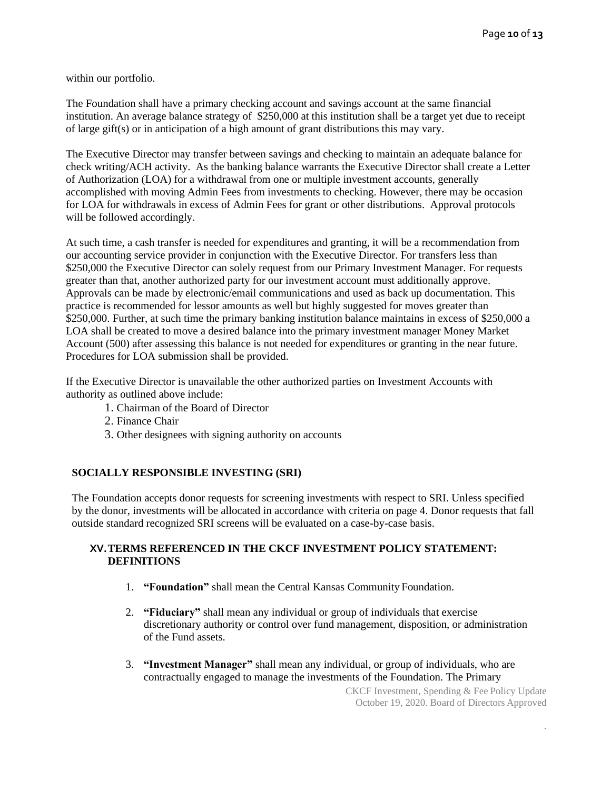within our portfolio.

The Foundation shall have a primary checking account and savings account at the same financial institution. An average balance strategy of \$250,000 at this institution shall be a target yet due to receipt of large gift(s) or in anticipation of a high amount of grant distributions this may vary.

The Executive Director may transfer between savings and checking to maintain an adequate balance for check writing/ACH activity. As the banking balance warrants the Executive Director shall create a Letter of Authorization (LOA) for a withdrawal from one or multiple investment accounts, generally accomplished with moving Admin Fees from investments to checking. However, there may be occasion for LOA for withdrawals in excess of Admin Fees for grant or other distributions. Approval protocols will be followed accordingly.

At such time, a cash transfer is needed for expenditures and granting, it will be a recommendation from our accounting service provider in conjunction with the Executive Director. For transfers less than \$250,000 the Executive Director can solely request from our Primary Investment Manager. For requests greater than that, another authorized party for our investment account must additionally approve. Approvals can be made by electronic/email communications and used as back up documentation. This practice is recommended for lessor amounts as well but highly suggested for moves greater than \$250,000. Further, at such time the primary banking institution balance maintains in excess of \$250,000 a LOA shall be created to move a desired balance into the primary investment manager Money Market Account (500) after assessing this balance is not needed for expenditures or granting in the near future. Procedures for LOA submission shall be provided.

If the Executive Director is unavailable the other authorized parties on Investment Accounts with authority as outlined above include:

- 1. Chairman of the Board of Director
- 2. Finance Chair
- 3. Other designees with signing authority on accounts

## **SOCIALLY RESPONSIBLE INVESTING (SRI)**

The Foundation accepts donor requests for screening investments with respect to SRI. Unless specified by the donor, investments will be allocated in accordance with criteria on page 4. Donor requests that fall outside standard recognized SRI screens will be evaluated on a case-by-case basis.

### **XV.TERMS REFERENCED IN THE CKCF INVESTMENT POLICY STATEMENT: DEFINITIONS**

- 1. **"Foundation"** shall mean the Central Kansas Community Foundation.
- 2. **"Fiduciary"** shall mean any individual or group of individuals that exercise discretionary authority or control over fund management, disposition, or administration of the Fund assets.
- 3. **"Investment Manager"** shall mean any individual, or group of individuals, who are contractually engaged to manage the investments of the Foundation. The Primary

CKCF Investment, Spending & Fee Policy Update October 19, 2020. Board of Directors Approved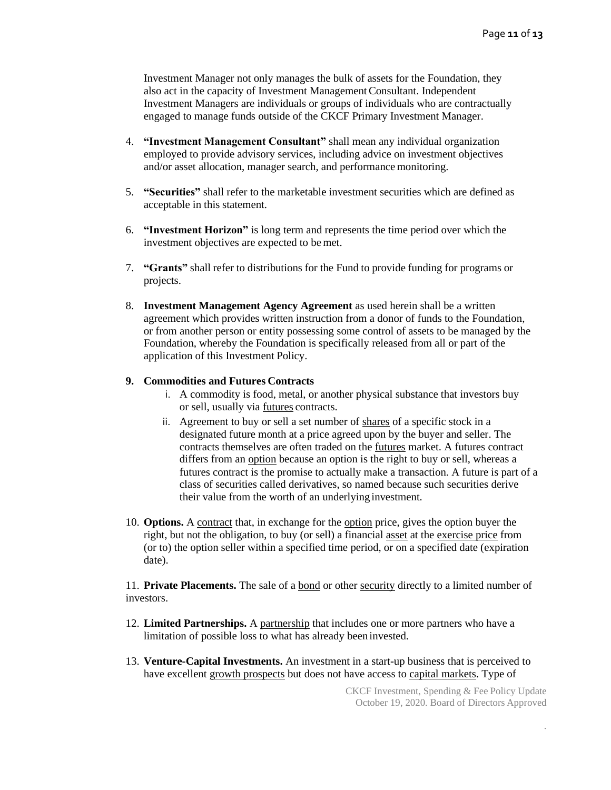Investment Manager not only manages the bulk of assets for the Foundation, they also act in the capacity of Investment Management Consultant. Independent Investment Managers are individuals or groups of individuals who are contractually engaged to manage funds outside of the CKCF Primary Investment Manager.

- 4. **"Investment Management Consultant"** shall mean any individual organization employed to provide advisory services, including advice on investment objectives and/or asset allocation, manager search, and performance monitoring.
- 5. **"Securities"** shall refer to the marketable investment securities which are defined as acceptable in this statement.
- 6. **"Investment Horizon"** is long term and represents the time period over which the investment objectives are expected to bemet.
- 7. **"Grants"** shall refer to distributions for the Fund to provide funding for programs or projects.
- 8. **Investment Management Agency Agreement** as used herein shall be a written agreement which provides written instruction from a donor of funds to the Foundation, or from another person or entity possessing some control of assets to be managed by the Foundation, whereby the Foundation is specifically released from all or part of the application of this Investment Policy.

#### **9. Commodities and Futures Contracts**

- i. A commodity is food, metal, or another physical substance that investors buy or sell, usually via [futures](http://www.nytimes.com/library/financial/glossary/bfglosf.htm#futures) contracts.
- ii. Agreement to buy or sell a set number of [shares](http://www.nytimes.com/library/financial/glossary/bfgloss.htm#shares) of a specific stock in a designated future month at a price agreed upon by the buyer and seller. The contracts themselves are often traded on the [futures](http://www.nytimes.com/library/financial/glossary/bfglosf.htm#futures) market. A futures contract differs from an [option](http://www.nytimes.com/library/financial/glossary/bfgloso.htm#option) because an option is the right to buy or sell, whereas a futures contract is the promise to actually make a transaction. A future is part of a class of securities called derivatives, so named because such securities derive their value from the worth of an underlying investment.
- 10. **Options.** A [contract](http://www.nytimes.com/library/financial/glossary/bfglosc.htm#contract) that, in exchange for the [option](http://www.nytimes.com/library/financial/glossary/bfgloso.htm#option) price, gives the option buyer the right, but not the obligation, to buy (or sell) a financi[al asset](http://www.nytimes.com/library/financial/glossary/bfglosa.htm#asset) at the [exercise price](http://www.nytimes.com/library/financial/glossary/bfglose.htm#exercise_price) from (or to) the option seller within a specified time period, or on a specified date (expiration date).

11. **Private Placements.** The sale of a [bond](http://www.nytimes.com/library/financial/glossary/bfglosb.htm#bond) or other [security](http://www.nytimes.com/library/financial/glossary/bfgloss.htm#security) directly to a limited number of investors.

- 12. **Limited Partnerships.** [A partnership](http://www.nytimes.com/library/financial/glossary/bfglosp.htm#partnership) that includes one or more partners who have a limitation of possible loss to what has already been invested.
- 13. **Venture-Capital Investments.** An investment in a start-up business that is perceived to have excellent [growth prospects](http://www.nytimes.com/library/financial/glossary/bfglosg.htm#growth_opportunity) but does not have access to [capital markets.](http://www.nytimes.com/library/financial/glossary/bfglosc.htm#capital_market) Type of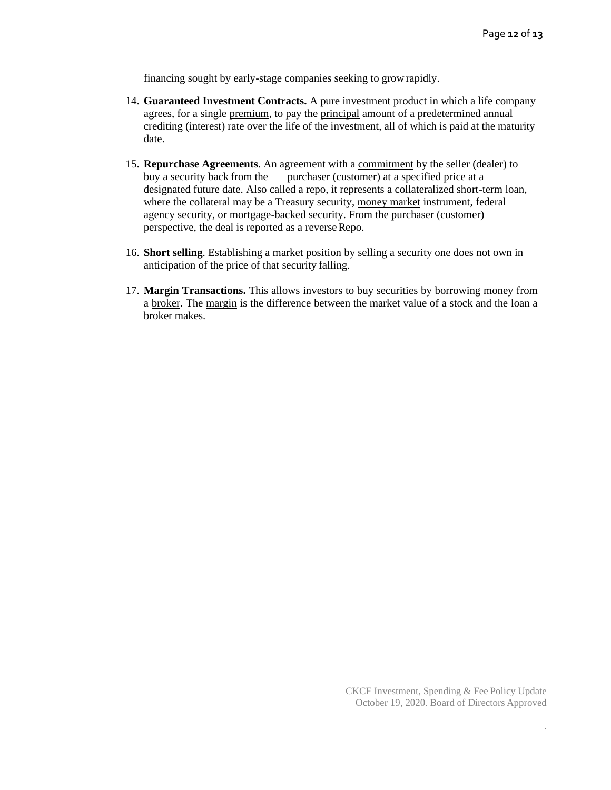financing sought by early-stage companies seeking to growrapidly.

- 14. **Guaranteed Investment Contracts.** A pure investment product in which a life company agrees, for a single [premium, t](http://www.nytimes.com/library/financial/glossary/bfglosp.htm#premium)o pay the [principal](http://www.nytimes.com/library/financial/glossary/bfglosp.htm#principal) amount of a predetermined annual crediting (interest) rate over the life of the investment, all of which is paid at the maturity date.
- 15. **Repurchase Agreements**. An agreement with [a commitment](http://www.nytimes.com/library/financial/glossary/bfglosc.htm#commitment) by the seller (dealer) to buy a [security](http://www.nytimes.com/library/financial/glossary/bfgloss.htm#security) back from the purchaser (customer) at a specified price at a designated future date. Also called a repo, it represents a collateralized short-term loan, where the collateral may be a Treasury securit[y, money market](http://www.nytimes.com/library/financial/glossary/bfglosm.htm#money_market) instrument, federal agency security, or mortgage-backed security. From the purchaser (customer) perspective, the deal is reported as a reverse Repo.
- 16. **Short selling**. Establishing a market [position](http://www.nytimes.com/library/financial/glossary/bfglosp.htm#position) by selling a security one does not own in anticipation of the price of that security falling.
- 17. **Margin Transactions.** This allows investors to buy securities by borrowing money from a [broker.](http://www.nytimes.com/library/financial/glossary/bfglosb.htm#broker) The [margin](http://www.nytimes.com/library/financial/glossary/bfglosm.htm#margin) is the difference between the market value of a stock and the loan a broker makes.